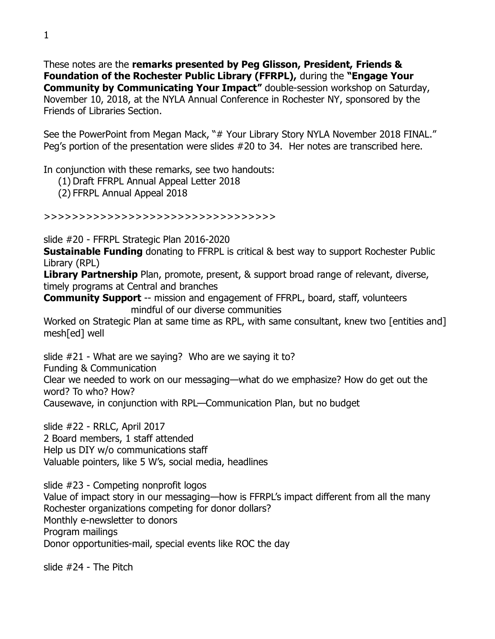These notes are the **remarks presented by Peg Glisson, President, Friends & Foundation of the Rochester Public Library (FFRPL),** during the **"Engage Your Community by Communicating Your Impact"** double-session workshop on Saturday, November 10, 2018, at the NYLA Annual Conference in Rochester NY, sponsored by the Friends of Libraries Section.

See the PowerPoint from Megan Mack, "# Your Library Story NYLA November 2018 FINAL." Peg's portion of the presentation were slides #20 to 34. Her notes are transcribed here.

In conjunction with these remarks, see two handouts:

(1) Draft FFRPL Annual Appeal Letter 2018

(2) FFRPL Annual Appeal 2018

>>>>>>>>>>>>>>>>>>>>>>>>>>>>>>>>>

slide #20 - FFRPL Strategic Plan 2016-2020

**Sustainable Funding** donating to FFRPL is critical & best way to support Rochester Public Library (RPL)

**Library Partnership** Plan, promote, present, & support broad range of relevant, diverse, timely programs at Central and branches

**Community Support** -- mission and engagement of FFRPL, board, staff, volunteers mindful of our diverse communities

Worked on Strategic Plan at same time as RPL, with same consultant, knew two [entities and] mesh[ed] well

slide #21 - What are we saying? Who are we saying it to?

Funding & Communication

Clear we needed to work on our messaging—what do we emphasize? How do get out the word? To who? How?

Causewave, in conjunction with RPL—Communication Plan, but no budget

slide #22 - RRLC, April 2017 2 Board members, 1 staff attended Help us DIY w/o communications staff Valuable pointers, like 5 W's, social media, headlines

slide #23 - Competing nonprofit logos Value of impact story in our messaging—how is FFRPL's impact different from all the many Rochester organizations competing for donor dollars? Monthly e-newsletter to donors Program mailings Donor opportunities-mail, special events like ROC the day

slide #24 - The Pitch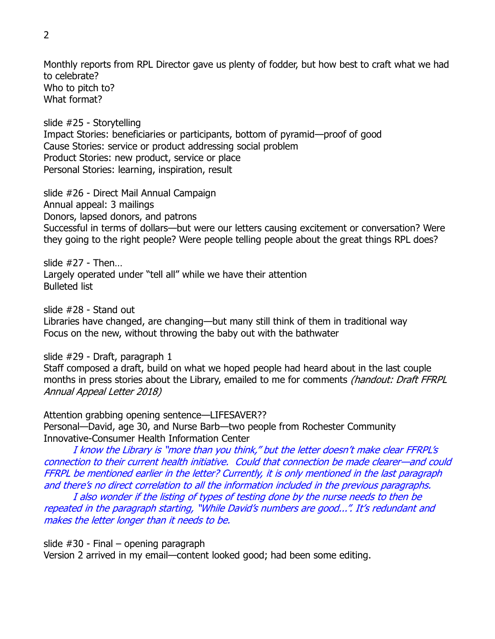Monthly reports from RPL Director gave us plenty of fodder, but how best to craft what we had to celebrate? Who to pitch to? What format?

slide #25 - Storytelling Impact Stories: beneficiaries or participants, bottom of pyramid—proof of good Cause Stories: service or product addressing social problem Product Stories: new product, service or place Personal Stories: learning, inspiration, result

slide #26 - Direct Mail Annual Campaign Annual appeal: 3 mailings Donors, lapsed donors, and patrons Successful in terms of dollars—but were our letters causing excitement or conversation? Were they going to the right people? Were people telling people about the great things RPL does?

slide  $#27 -$ Then Largely operated under "tell all" while we have their attention Bulleted list

slide #28 - Stand out

Libraries have changed, are changing—but many still think of them in traditional way Focus on the new, without throwing the baby out with the bathwater

slide #29 - Draft, paragraph 1

Staff composed a draft, build on what we hoped people had heard about in the last couple months in press stories about the Library, emailed to me for comments (handout: Draft FFRPL Annual Appeal Letter 2018)

Attention grabbing opening sentence—LIFESAVER?? Personal—David, age 30, and Nurse Barb—two people from Rochester Community Innovative-Consumer Health Information Center

I know the Library is "more than you think," but the letter doesn't make clear FFRPL's connection to their current health initiative. Could that connection be made clearer—and could FFRPL be mentioned earlier in the letter? Currently, it is only mentioned in the last paragraph and there's no direct correlation to all the information included in the previous paragraphs.

I also wonder if the listing of types of testing done by the nurse needs to then be repeated in the paragraph starting, "While David's numbers are good...". It's redundant and makes the letter longer than it needs to be.

slide #30 - Final – opening paragraph Version 2 arrived in my email—content looked good; had been some editing.